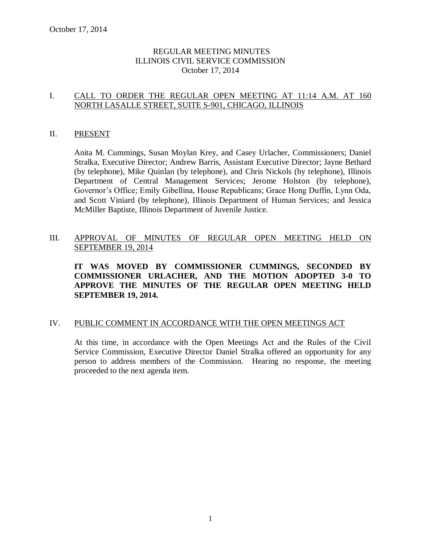## REGULAR MEETING MINUTES ILLINOIS CIVIL SERVICE COMMISSION October 17, 2014

## I. CALL TO ORDER THE REGULAR OPEN MEETING AT 11:14 A.M. AT 160 NORTH LASALLE STREET, SUITE S-901, CHICAGO, ILLINOIS

### II. PRESENT

Anita M. Cummings, Susan Moylan Krey, and Casey Urlacher, Commissioners; Daniel Stralka, Executive Director; Andrew Barris, Assistant Executive Director; Jayne Bethard (by telephone), Mike Quinlan (by telephone), and Chris Nickols (by telephone), Illinois Department of Central Management Services; Jerome Holston (by telephone), Governor's Office; Emily Gibellina, House Republicans; Grace Hong Duffin, Lynn Oda, and Scott Viniard (by telephone), Illinois Department of Human Services; and Jessica McMiller Baptiste, Illinois Department of Juvenile Justice.

## III. APPROVAL OF MINUTES OF REGULAR OPEN MEETING HELD ON SEPTEMBER 19, 2014

**IT WAS MOVED BY COMMISSIONER CUMMINGS, SECONDED BY COMMISSIONER URLACHER, AND THE MOTION ADOPTED 3-0 TO APPROVE THE MINUTES OF THE REGULAR OPEN MEETING HELD SEPTEMBER 19, 2014.** 

#### IV. PUBLIC COMMENT IN ACCORDANCE WITH THE OPEN MEETINGS ACT

At this time, in accordance with the Open Meetings Act and the Rules of the Civil Service Commission, Executive Director Daniel Stralka offered an opportunity for any person to address members of the Commission. Hearing no response, the meeting proceeded to the next agenda item.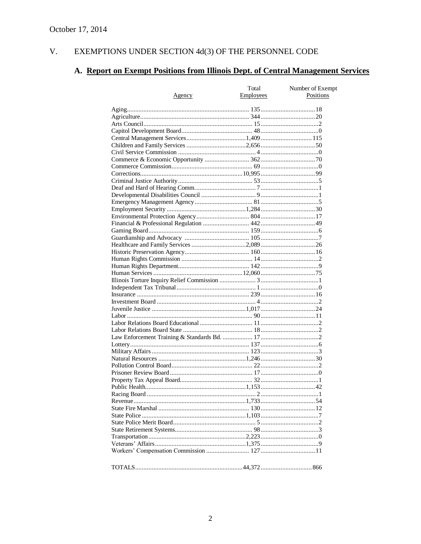#### $V<sub>r</sub>$ EXEMPTIONS UNDER SECTION 4d(3) OF THE PERSONNEL CODE

# A. Report on Exempt Positions from Illinois Dept. of Central Management Services

|        | Total            | Number of Exempt |
|--------|------------------|------------------|
| Agency | <b>Employees</b> | Positions        |
|        |                  |                  |
|        |                  |                  |
|        |                  |                  |
|        |                  |                  |
|        |                  |                  |
|        |                  |                  |
|        |                  |                  |
|        |                  |                  |
|        |                  |                  |
|        |                  |                  |
|        |                  |                  |
|        |                  |                  |
|        |                  |                  |
|        |                  |                  |
|        |                  |                  |
|        |                  |                  |
|        |                  |                  |
|        |                  |                  |
|        |                  |                  |
|        |                  |                  |
|        |                  |                  |
|        |                  |                  |
|        |                  |                  |
|        |                  |                  |
|        |                  |                  |
|        |                  |                  |
|        |                  |                  |
|        |                  |                  |
|        |                  |                  |
|        |                  |                  |
|        |                  |                  |
|        |                  |                  |
|        |                  |                  |
|        |                  |                  |
|        |                  |                  |
|        |                  |                  |
|        |                  |                  |
|        |                  |                  |
|        |                  |                  |
|        |                  |                  |
|        |                  |                  |
|        |                  |                  |
|        |                  |                  |
|        |                  |                  |
|        |                  |                  |
|        |                  |                  |
|        |                  |                  |
|        |                  |                  |
|        |                  |                  |
|        |                  |                  |
|        |                  |                  |
|        |                  |                  |
|        |                  |                  |
|        |                  |                  |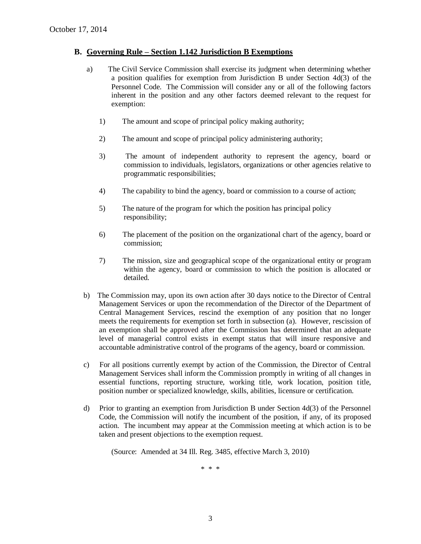#### **B. Governing Rule – Section 1.142 Jurisdiction B Exemptions**

- a) The Civil Service Commission shall exercise its judgment when determining whether a position qualifies for exemption from Jurisdiction B under Section  $4d(3)$  of the Personnel Code. The Commission will consider any or all of the following factors inherent in the position and any other factors deemed relevant to the request for exemption:
	- 1) The amount and scope of principal policy making authority;
	- 2) The amount and scope of principal policy administering authority;
	- 3) The amount of independent authority to represent the agency, board or commission to individuals, legislators, organizations or other agencies relative to programmatic responsibilities;
	- 4) The capability to bind the agency, board or commission to a course of action;
	- 5) The nature of the program for which the position has principal policy responsibility;
	- 6) The placement of the position on the organizational chart of the agency, board or commission;
	- 7) The mission, size and geographical scope of the organizational entity or program within the agency, board or commission to which the position is allocated or detailed.
- b) The Commission may, upon its own action after 30 days notice to the Director of Central Management Services or upon the recommendation of the Director of the Department of Central Management Services, rescind the exemption of any position that no longer meets the requirements for exemption set forth in subsection (a). However, rescission of an exemption shall be approved after the Commission has determined that an adequate level of managerial control exists in exempt status that will insure responsive and accountable administrative control of the programs of the agency, board or commission.
- c) For all positions currently exempt by action of the Commission, the Director of Central Management Services shall inform the Commission promptly in writing of all changes in essential functions, reporting structure, working title, work location, position title, position number or specialized knowledge, skills, abilities, licensure or certification.
- d) Prior to granting an exemption from Jurisdiction B under Section 4d(3) of the Personnel Code, the Commission will notify the incumbent of the position, if any, of its proposed action. The incumbent may appear at the Commission meeting at which action is to be taken and present objections to the exemption request.

(Source: Amended at 34 Ill. Reg. 3485, effective March 3, 2010)

\* \* \*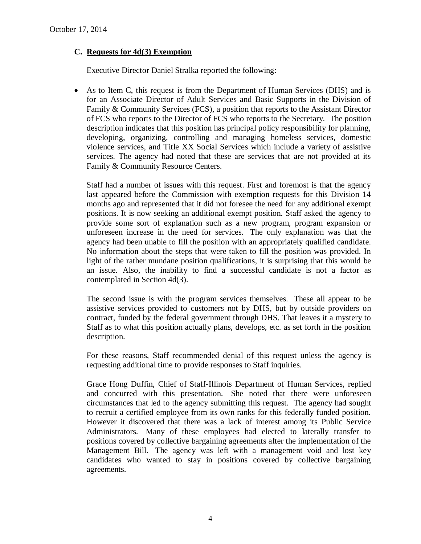## **C. Requests for 4d(3) Exemption**

Executive Director Daniel Stralka reported the following:

 As to Item C, this request is from the Department of Human Services (DHS) and is for an Associate Director of Adult Services and Basic Supports in the Division of Family & Community Services (FCS), a position that reports to the Assistant Director of FCS who reports to the Director of FCS who reports to the Secretary. The position description indicates that this position has principal policy responsibility for planning, developing, organizing, controlling and managing homeless services, domestic violence services, and Title XX Social Services which include a variety of assistive services. The agency had noted that these are services that are not provided at its Family & Community Resource Centers.

Staff had a number of issues with this request. First and foremost is that the agency last appeared before the Commission with exemption requests for this Division 14 months ago and represented that it did not foresee the need for any additional exempt positions. It is now seeking an additional exempt position. Staff asked the agency to provide some sort of explanation such as a new program, program expansion or unforeseen increase in the need for services. The only explanation was that the agency had been unable to fill the position with an appropriately qualified candidate. No information about the steps that were taken to fill the position was provided. In light of the rather mundane position qualifications, it is surprising that this would be an issue. Also, the inability to find a successful candidate is not a factor as contemplated in Section 4d(3).

The second issue is with the program services themselves. These all appear to be assistive services provided to customers not by DHS, but by outside providers on contract, funded by the federal government through DHS. That leaves it a mystery to Staff as to what this position actually plans, develops, etc. as set forth in the position description.

For these reasons, Staff recommended denial of this request unless the agency is requesting additional time to provide responses to Staff inquiries.

Grace Hong Duffin, Chief of Staff-Illinois Department of Human Services, replied and concurred with this presentation. She noted that there were unforeseen circumstances that led to the agency submitting this request. The agency had sought to recruit a certified employee from its own ranks for this federally funded position. However it discovered that there was a lack of interest among its Public Service Administrators. Many of these employees had elected to laterally transfer to positions covered by collective bargaining agreements after the implementation of the Management Bill. The agency was left with a management void and lost key candidates who wanted to stay in positions covered by collective bargaining agreements.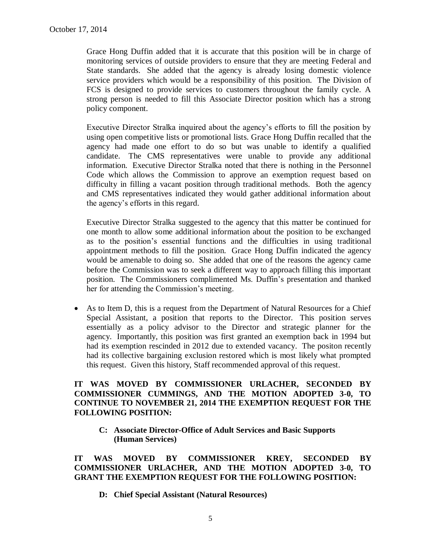Grace Hong Duffin added that it is accurate that this position will be in charge of monitoring services of outside providers to ensure that they are meeting Federal and State standards. She added that the agency is already losing domestic violence service providers which would be a responsibility of this position. The Division of FCS is designed to provide services to customers throughout the family cycle. A strong person is needed to fill this Associate Director position which has a strong policy component.

Executive Director Stralka inquired about the agency's efforts to fill the position by using open competitive lists or promotional lists. Grace Hong Duffin recalled that the agency had made one effort to do so but was unable to identify a qualified candidate. The CMS representatives were unable to provide any additional information. Executive Director Stralka noted that there is nothing in the Personnel Code which allows the Commission to approve an exemption request based on difficulty in filling a vacant position through traditional methods. Both the agency and CMS representatives indicated they would gather additional information about the agency's efforts in this regard.

Executive Director Stralka suggested to the agency that this matter be continued for one month to allow some additional information about the position to be exchanged as to the position's essential functions and the difficulties in using traditional appointment methods to fill the position. Grace Hong Duffin indicated the agency would be amenable to doing so. She added that one of the reasons the agency came before the Commission was to seek a different way to approach filling this important position. The Commissioners complimented Ms. Duffin's presentation and thanked her for attending the Commission's meeting.

 As to Item D, this is a request from the Department of Natural Resources for a Chief Special Assistant, a position that reports to the Director. This position serves essentially as a policy advisor to the Director and strategic planner for the agency. Importantly, this position was first granted an exemption back in 1994 but had its exemption rescinded in 2012 due to extended vacancy. The positon recently had its collective bargaining exclusion restored which is most likely what prompted this request. Given this history, Staff recommended approval of this request.

## **IT WAS MOVED BY COMMISSIONER URLACHER, SECONDED BY COMMISSIONER CUMMINGS, AND THE MOTION ADOPTED 3-0, TO CONTINUE TO NOVEMBER 21, 2014 THE EXEMPTION REQUEST FOR THE FOLLOWING POSITION:**

**C: Associate Director-Office of Adult Services and Basic Supports (Human Services)**

**IT WAS MOVED BY COMMISSIONER KREY, SECONDED BY COMMISSIONER URLACHER, AND THE MOTION ADOPTED 3-0, TO GRANT THE EXEMPTION REQUEST FOR THE FOLLOWING POSITION:**

**D: Chief Special Assistant (Natural Resources)**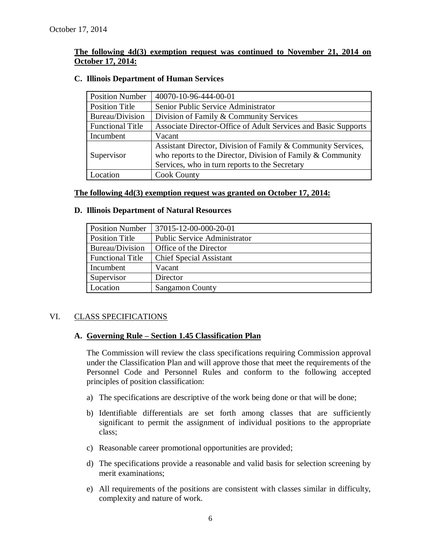## **The following 4d(3) exemption request was continued to November 21, 2014 on October 17, 2014:**

| <b>Position Number</b>  | 40070-10-96-444-00-01                                          |
|-------------------------|----------------------------------------------------------------|
| <b>Position Title</b>   | Senior Public Service Administrator                            |
| Bureau/Division         | Division of Family & Community Services                        |
| <b>Functional Title</b> | Associate Director-Office of Adult Services and Basic Supports |
| Incumbent               | Vacant                                                         |
|                         | Assistant Director, Division of Family & Community Services,   |
| Supervisor              | who reports to the Director, Division of Family $&$ Community  |
|                         | Services, who in turn reports to the Secretary                 |
| Location                | <b>Cook County</b>                                             |

#### **C. Illinois Department of Human Services**

#### **The following 4d(3) exemption request was granted on October 17, 2014:**

#### **D. Illinois Department of Natural Resources**

| <b>Position Number</b>  | 37015-12-00-000-20-01               |
|-------------------------|-------------------------------------|
| <b>Position Title</b>   | <b>Public Service Administrator</b> |
| Bureau/Division         | Office of the Director              |
| <b>Functional Title</b> | <b>Chief Special Assistant</b>      |
| Incumbent               | Vacant                              |
| Supervisor              | Director                            |
| Location                | <b>Sangamon County</b>              |

#### VI. CLASS SPECIFICATIONS

#### **A. Governing Rule – Section 1.45 Classification Plan**

The Commission will review the class specifications requiring Commission approval under the Classification Plan and will approve those that meet the requirements of the Personnel Code and Personnel Rules and conform to the following accepted principles of position classification:

- a) The specifications are descriptive of the work being done or that will be done;
- b) Identifiable differentials are set forth among classes that are sufficiently significant to permit the assignment of individual positions to the appropriate class;
- c) Reasonable career promotional opportunities are provided;
- d) The specifications provide a reasonable and valid basis for selection screening by merit examinations;
- e) All requirements of the positions are consistent with classes similar in difficulty, complexity and nature of work.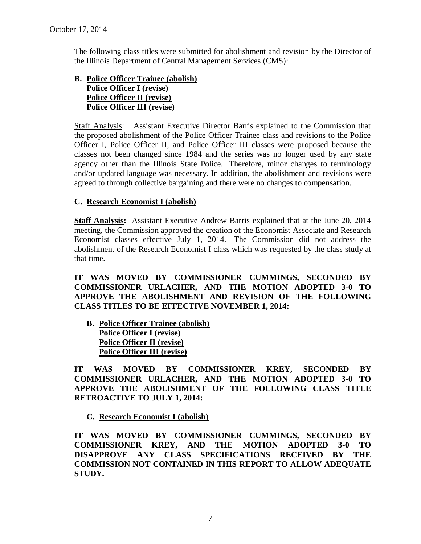The following class titles were submitted for abolishment and revision by the Director of the Illinois Department of Central Management Services (CMS):

## **B. Police Officer Trainee (abolish) Police Officer I (revise) Police Officer II (revise) Police Officer III (revise)**

Staff Analysis: Assistant Executive Director Barris explained to the Commission that the proposed abolishment of the Police Officer Trainee class and revisions to the Police Officer I, Police Officer II, and Police Officer III classes were proposed because the classes not been changed since 1984 and the series was no longer used by any state agency other than the Illinois State Police. Therefore, minor changes to terminology and/or updated language was necessary. In addition, the abolishment and revisions were agreed to through collective bargaining and there were no changes to compensation.

## **C. Research Economist I (abolish)**

**Staff Analysis:** Assistant Executive Andrew Barris explained that at the June 20, 2014 meeting, the Commission approved the creation of the Economist Associate and Research Economist classes effective July 1, 2014. The Commission did not address the abolishment of the Research Economist I class which was requested by the class study at that time.

**IT WAS MOVED BY COMMISSIONER CUMMINGS, SECONDED BY COMMISSIONER URLACHER, AND THE MOTION ADOPTED 3-0 TO APPROVE THE ABOLISHMENT AND REVISION OF THE FOLLOWING CLASS TITLES TO BE EFFECTIVE NOVEMBER 1, 2014:**

**B. Police Officer Trainee (abolish) Police Officer I (revise) Police Officer II (revise) Police Officer III (revise)**

**IT WAS MOVED BY COMMISSIONER KREY, SECONDED BY COMMISSIONER URLACHER, AND THE MOTION ADOPTED 3-0 TO APPROVE THE ABOLISHMENT OF THE FOLLOWING CLASS TITLE RETROACTIVE TO JULY 1, 2014:**

## **C. Research Economist I (abolish)**

**IT WAS MOVED BY COMMISSIONER CUMMINGS, SECONDED BY COMMISSIONER KREY, AND THE MOTION ADOPTED 3-0 TO DISAPPROVE ANY CLASS SPECIFICATIONS RECEIVED BY THE COMMISSION NOT CONTAINED IN THIS REPORT TO ALLOW ADEQUATE STUDY.**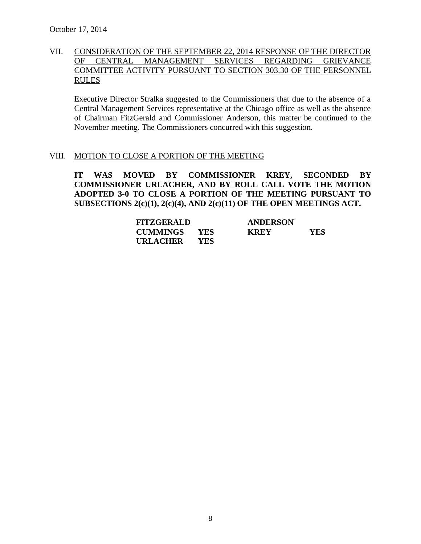## VII. CONSIDERATION OF THE SEPTEMBER 22, 2014 RESPONSE OF THE DIRECTOR OF CENTRAL MANAGEMENT SERVICES REGARDING GRIEVANCE COMMITTEE ACTIVITY PURSUANT TO SECTION 303.30 OF THE PERSONNEL RULES

Executive Director Stralka suggested to the Commissioners that due to the absence of a Central Management Services representative at the Chicago office as well as the absence of Chairman FitzGerald and Commissioner Anderson, this matter be continued to the November meeting. The Commissioners concurred with this suggestion.

#### VIII. MOTION TO CLOSE A PORTION OF THE MEETING

**IT WAS MOVED BY COMMISSIONER KREY, SECONDED BY COMMISSIONER URLACHER, AND BY ROLL CALL VOTE THE MOTION ADOPTED 3-0 TO CLOSE A PORTION OF THE MEETING PURSUANT TO SUBSECTIONS 2(c)(1), 2(c)(4), AND 2(c)(11) OF THE OPEN MEETINGS ACT.**

| <b>FITZGERALD</b> |      | <b>ANDERSON</b> |            |
|-------------------|------|-----------------|------------|
| CUMMINGS YES      |      | <b>KREY</b>     | <b>YES</b> |
| URLACHER          | YES. |                 |            |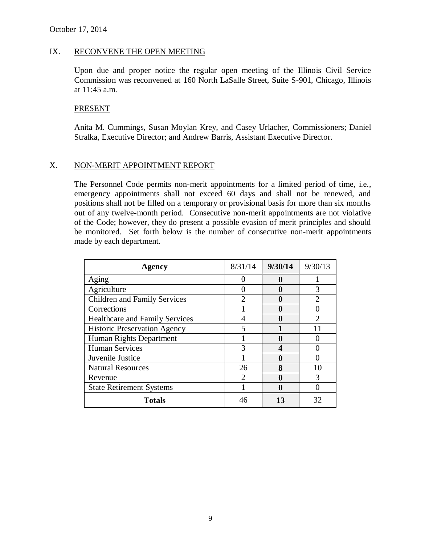#### IX. RECONVENE THE OPEN MEETING

Upon due and proper notice the regular open meeting of the Illinois Civil Service Commission was reconvened at 160 North LaSalle Street, Suite S-901, Chicago, Illinois at 11:45 a.m.

#### **PRESENT**

Anita M. Cummings, Susan Moylan Krey, and Casey Urlacher, Commissioners; Daniel Stralka, Executive Director; and Andrew Barris, Assistant Executive Director.

#### X. NON-MERIT APPOINTMENT REPORT

The Personnel Code permits non-merit appointments for a limited period of time, i.e., emergency appointments shall not exceed 60 days and shall not be renewed, and positions shall not be filled on a temporary or provisional basis for more than six months out of any twelve-month period. Consecutive non-merit appointments are not violative of the Code; however, they do present a possible evasion of merit principles and should be monitored. Set forth below is the number of consecutive non-merit appointments made by each department.

| Agency                                | 8/31/14                     | 9/30/14 | 9/30/13 |
|---------------------------------------|-----------------------------|---------|---------|
| Aging                                 |                             |         |         |
| Agriculture                           |                             |         |         |
| <b>Children and Family Services</b>   |                             |         |         |
| Corrections                           |                             |         |         |
| <b>Healthcare and Family Services</b> |                             |         |         |
| <b>Historic Preservation Agency</b>   |                             |         |         |
| Human Rights Department               |                             |         |         |
| <b>Human Services</b>                 |                             |         |         |
| Juvenile Justice                      |                             |         |         |
| <b>Natural Resources</b>              | 26                          | 8       |         |
| Revenue                               | $\mathcal{D}_{\mathcal{L}}$ |         |         |
| <b>State Retirement Systems</b>       |                             |         |         |
| <b>Totals</b>                         |                             | 13      | 32      |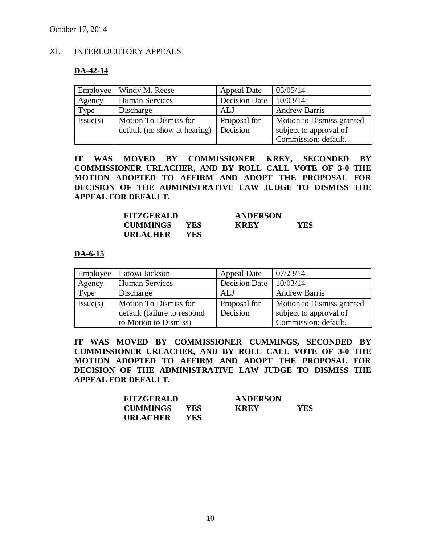## XI. INTERLOCUTORY APPEALS

#### **DA-42-14**

| Employee | Windy M. Reese               | <b>Appeal Date</b> | 05/05/14                  |
|----------|------------------------------|--------------------|---------------------------|
| Agency   | <b>Human Services</b>        | Decision Date      | 10/03/14                  |
| Type     | Discharge                    | ALJ                | <b>Andrew Barris</b>      |
| Issue(s) | Motion To Dismiss for        | Proposal for       | Motion to Dismiss granted |
|          | default (no show at hearing) | Decision           | subject to approval of    |
|          |                              |                    | Commission; default.      |

**IT WAS MOVED BY COMMISSIONER KREY, SECONDED BY COMMISSIONER URLACHER, AND BY ROLL CALL VOTE OF 3-0 THE MOTION ADOPTED TO AFFIRM AND ADOPT THE PROPOSAL FOR DECISION OF THE ADMINISTRATIVE LAW JUDGE TO DISMISS THE APPEAL FOR DEFAULT.**

| <b>FITZGERALD</b> |            | <b>ANDERSON</b> |     |
|-------------------|------------|-----------------|-----|
| <b>CUMMINGS</b>   | <b>YES</b> | <b>KREY</b>     | YES |
| <b>URLACHER</b>   | YES.       |                 |     |

#### **DA-6-15**

| Employee | Latoya Jackson                                       | <b>Appeal Date</b>       | 07/23/14                                            |
|----------|------------------------------------------------------|--------------------------|-----------------------------------------------------|
| Agency   | <b>Human Services</b>                                | <b>Decision Date</b>     | 10/03/14                                            |
| Type     | Discharge                                            | ALJ                      | <b>Andrew Barris</b>                                |
| Issue(s) | Motion To Dismiss for<br>default (failure to respond | Proposal for<br>Decision | Motion to Dismiss granted<br>subject to approval of |
|          | to Motion to Dismiss)                                |                          | Commission; default.                                |

**IT WAS MOVED BY COMMISSIONER CUMMINGS, SECONDED BY COMMISSIONER URLACHER, AND BY ROLL CALL VOTE OF 3-0 THE MOTION ADOPTED TO AFFIRM AND ADOPT THE PROPOSAL FOR DECISION OF THE ADMINISTRATIVE LAW JUDGE TO DISMISS THE APPEAL FOR DEFAULT.**

| <b>FITZGERALD</b> |      | <b>ANDERSON</b> |            |
|-------------------|------|-----------------|------------|
| <b>CUMMINGS</b>   | YES  | <b>KREY</b>     | <b>YES</b> |
| URLACHER          | YES. |                 |            |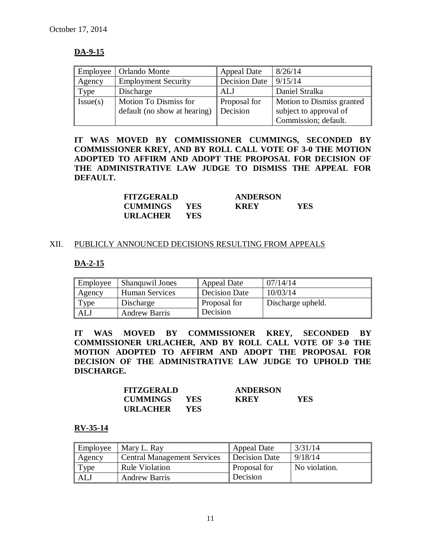## **DA-9-15**

| Employee | Orlando Monte                | <b>Appeal Date</b>   | 8/26/14                   |
|----------|------------------------------|----------------------|---------------------------|
| Agency   | <b>Employment Security</b>   | <b>Decision Date</b> | 9/15/14                   |
| Type     | Discharge                    | ALJ                  | Daniel Stralka            |
| Issue(s) | Motion To Dismiss for        | Proposal for         | Motion to Dismiss granted |
|          | default (no show at hearing) | Decision             | subject to approval of    |
|          |                              |                      | Commission; default.      |

**IT WAS MOVED BY COMMISSIONER CUMMINGS, SECONDED BY COMMISSIONER KREY, AND BY ROLL CALL VOTE OF 3-0 THE MOTION ADOPTED TO AFFIRM AND ADOPT THE PROPOSAL FOR DECISION OF THE ADMINISTRATIVE LAW JUDGE TO DISMISS THE APPEAL FOR DEFAULT.**

| <b>FITZGERALD</b>   |            | <b>ANDERSON</b> |      |
|---------------------|------------|-----------------|------|
| <b>CUMMINGS YES</b> |            | <b>KREY</b>     | YES. |
| URLACHER            | <b>YES</b> |                 |      |

#### XII. PUBLICLY ANNOUNCED DECISIONS RESULTING FROM APPEALS

## **DA-2-15**

| Employee   | <b>Shanguwil Jones</b> | Appeal Date         | 07/14/14          |
|------------|------------------------|---------------------|-------------------|
| Agency     | <b>Human Services</b>  | Decision Date       | 10/03/14          |
| Type       | Discharge              | <b>Proposal for</b> | Discharge upheld. |
| <b>ALJ</b> | <b>Andrew Barris</b>   | Decision            |                   |

**IT WAS MOVED BY COMMISSIONER KREY, SECONDED BY COMMISSIONER URLACHER, AND BY ROLL CALL VOTE OF 3-0 THE MOTION ADOPTED TO AFFIRM AND ADOPT THE PROPOSAL FOR DECISION OF THE ADMINISTRATIVE LAW JUDGE TO UPHOLD THE DISCHARGE.**

| <b>FITZGERALD</b> |            | <b>ANDERSON</b> |     |
|-------------------|------------|-----------------|-----|
| <b>CUMMINGS</b>   | <b>YES</b> | <b>KREY</b>     | YES |
| URLACHER          | YES.       |                 |     |

#### **RV-35-14**

| Employee | Mary L. Ray                        | Appeal Date         | 3/31/14       |
|----------|------------------------------------|---------------------|---------------|
| Agency   | <b>Central Management Services</b> | Decision Date       | 9/18/14       |
| Type     | <b>Rule Violation</b>              | <b>Proposal for</b> | No violation. |
| ALJ      | <b>Andrew Barris</b>               | Decision            |               |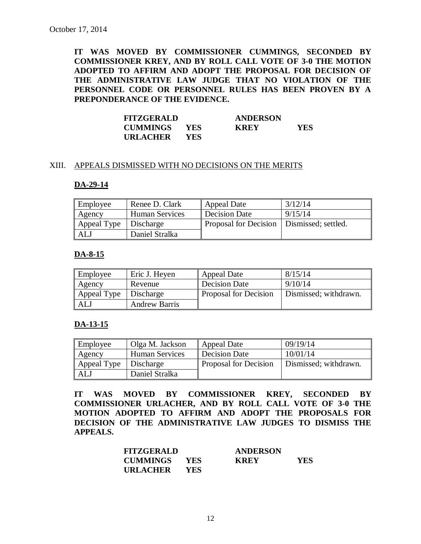**IT WAS MOVED BY COMMISSIONER CUMMINGS, SECONDED BY COMMISSIONER KREY, AND BY ROLL CALL VOTE OF 3-0 THE MOTION ADOPTED TO AFFIRM AND ADOPT THE PROPOSAL FOR DECISION OF THE ADMINISTRATIVE LAW JUDGE THAT NO VIOLATION OF THE PERSONNEL CODE OR PERSONNEL RULES HAS BEEN PROVEN BY A PREPONDERANCE OF THE EVIDENCE.**

| <b>FITZGERALD</b>   |            | <b>ANDERSON</b> |     |
|---------------------|------------|-----------------|-----|
| <b>CUMMINGS YES</b> |            | <b>KREY</b>     | YES |
| URLACHER            | <b>YES</b> |                 |     |

#### XIII. APPEALS DISMISSED WITH NO DECISIONS ON THE MERITS

#### **DA-29-14**

| Employee                | Renee D. Clark        | <b>Appeal Date</b>                          | 3/12/14 |
|-------------------------|-----------------------|---------------------------------------------|---------|
| Agency                  | <b>Human Services</b> | Decision Date                               | 9/15/14 |
| Appeal Type   Discharge |                       | Proposal for Decision   Dismissed; settled. |         |
| <b>ALJ</b>              | Daniel Stralka        |                                             |         |

#### **DA-8-15**

| Employee    | Eric J. Heyen        | Appeal Date           | 8/15/14               |
|-------------|----------------------|-----------------------|-----------------------|
| Agency      | Revenue              | <b>Decision Date</b>  | 9/10/14               |
| Appeal Type | Discharge            | Proposal for Decision | Dismissed; withdrawn. |
| <b>ALJ</b>  | <b>Andrew Barris</b> |                       |                       |

#### **DA-13-15**

| Employee    | Olga M. Jackson       | Appeal Date           | 09/19/14              |
|-------------|-----------------------|-----------------------|-----------------------|
| Agency      | <b>Human Services</b> | Decision Date         | 10/01/14              |
| Appeal Type | Discharge             | Proposal for Decision | Dismissed; withdrawn. |
| <b>ALJ</b>  | Daniel Stralka        |                       |                       |

**IT WAS MOVED BY COMMISSIONER KREY, SECONDED BY COMMISSIONER URLACHER, AND BY ROLL CALL VOTE OF 3-0 THE MOTION ADOPTED TO AFFIRM AND ADOPT THE PROPOSALS FOR DECISION OF THE ADMINISTRATIVE LAW JUDGES TO DISMISS THE APPEALS.**

| <b>FITZGERALD</b>   |            | <b>ANDERSON</b> |            |
|---------------------|------------|-----------------|------------|
| <b>CUMMINGS YES</b> |            | <b>KREY</b>     | <b>YES</b> |
| <b>URLACHER</b>     | <b>YES</b> |                 |            |